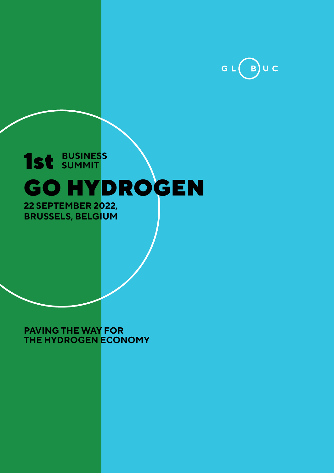

## GO HYDROGEN 1st **BUSINESS SUMMIT 22 SEPTEMBER 2022,**

**BRUSSELS, BELGIUM**

**PAVING THE WAY FOR THE HYDROGEN ECONOMY**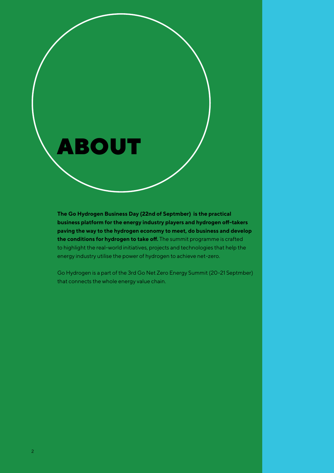

**The Go Hydrogen Business Day (22nd of Septmber) is the practical business platform for the energy industry players and hydrogen off-takers paving the way to the hydrogen economy to meet, do business and develop the conditions for hydrogen to take off.** The summit programme is crafted to highlight the real-world initiatives, projects and technologies that help the energy industry utilise the power of hydrogen to achieve net-zero.

Go Hydrogen is a part of the 3rd Go Net Zero Energy Summit (20-21 Septmber) that connects the whole energy value chain.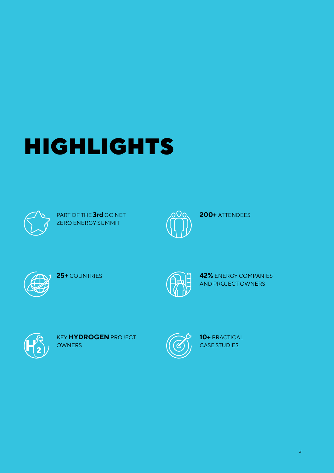# HIGHLIGHTS



PART OF THE **3rd** GO NET ZERO ENERGY SUMMIT



**200+** ATTENDEES



**25+** COUNTRIES



**42%** ENERGY COMPANIES AND PROJECT OWNERS



KEY **HYDROGEN** PROJECT **OWNERS** 



**10+** PRACTICAL CASE STUDIES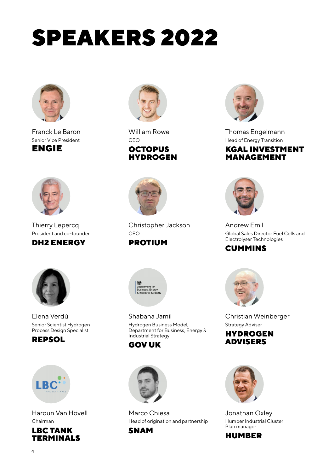# SPEAKERS 2022



Franck Le Baron Senior Vice President ENGIE



Thierry Lepercq President and co-founder

### DH2 ENERGY



Elena Verdú Senior Scientist Hydrogen Process Design Specialist





Haroun Van Hövell Chairman





William Rowe CEO **OCTOPUS** HYDROGEN



Christopher Jackson CEO

#### PROTIUM



Shabana Jamil Hydrogen Business Model, Department for Business, Energy & Industrial Strategy

#### GOV UK



Marco Chiesa Head of origination and partnership SNAM



Thomas Engelmann Head of Energy Transition KGAL INVESTMENT MANAGEMENT



Andrew Emil Global Sales Director Fuel Cells and Electrolyser Technologies

#### CUMMINS



Christian Weinberger Strategy Adviser





Jonathan Oxley Humber Industrial Cluster Plan manager

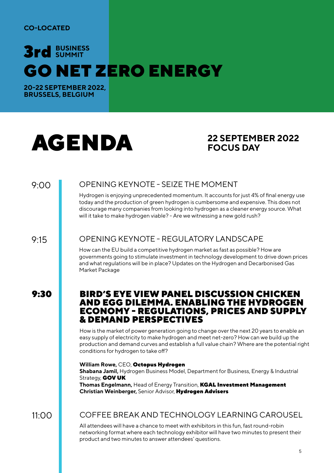#### **CO-LOCATED**

## GO NET ZERO ENERGY 3rd **BUSINESS SUMMIT**

**20-22 SEPTEMBER 2022, BRUSSELS, BELGIUM**

# AGENDA<sup>22 SEPTEMBER 2022</sup>

## **FOCUS DAY**

9:00

#### OPENING KEYNOTE - SEIZE THE MOMENT

Hydrogen is enjoying unprecedented momentum. It accounts for just 4% of final energy use today and the production of green hydrogen is cumbersome and expensive. This does not discourage many companies from looking into hydrogen as a cleaner energy source. What will it take to make hydrogen viable? - Are we witnessing a new gold rush?

9:15

#### OPENING KEYNOTE - REGULATORY LANDSCAPE

How can the EU build a competitive hydrogen market as fast as possible? How are governments going to stimulate investment in technology development to drive down prices and what regulations will be in place? Updates on the Hydrogen and Decarbonised Gas Market Package

#### 9:30 BIRD'S EYE VIEW PANEL DISCUSSION CHICKEN AND EGG DILEMMA. ENABLING THE HYDROGEN ECONOMY - REGULATIONS, PRICES AND SUPPLY & DEMAND PERSPECTIVES

How is the market of power generation going to change over the next 20 years to enable an easy supply of electricity to make hydrogen and meet net-zero? How can we build up the production and demand curves and establish a full value chain? Where are the potential right conditions for hydrogen to take off?

#### **William Rowe,** CEO, Octopus Hydrogen

**Shabana Jamil,** Hydrogen Business Model, Department for Business, Energy & Industrial Strategy, **GOV UK Thomas Engelmann,** Head of Energy Transition, KGAL Investment Management **Christian Weinberger,** Senior Advisor, Hydrogen Advisers

11:00

#### COFFEE BREAK AND TECHNOLOGY LEARNING CAROUSEL

All attendees will have a chance to meet with exhibitors in this fun, fast round-robin networking format where each technology exhibitor will have two minutes to present their product and two minutes to answer attendees' questions.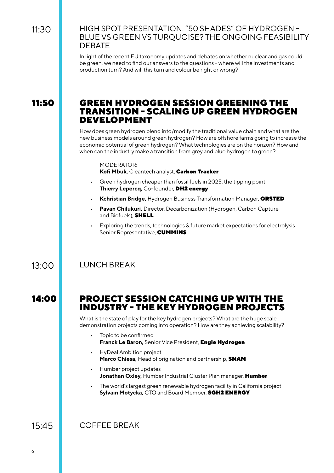#### HIGH SPOT PRESENTATION. "50 SHADES" OF HYDROGEN - BLUE VS GREEN VS TURQUOISE? THE ONGOING FEASIBILITY DEBATE

In light of the recent EU taxonomy updates and debates on whether nuclear and gas could be green, we need to find our answers to the questions - where will the investments and production turn? And will this turn and colour be right or wrong?

#### 11:50 GREEN HYDROGEN SESSION GREENING THE TRANSITION - SCALING UP GREEN HYDROGEN DEVELOPMENT

How does green hydrogen blend into/modify the traditional value chain and what are the new business models around green hydrogen? How are offshore farms going to increase the economic potential of green hydrogen? What technologies are on the horizon? How and when can the industry make a transition from grey and blue hydrogen to green?

#### MODERATOR: **Kofi Mbuk,** Cleantech analyst, Carbon Tracker

- Green hydrogen cheaper than fossil fuels in 2025: the tipping point **Thierry Lepercq,** Co-founder, DH2 energy
- **Kchristian Bridge,** Hydrogen Business Transformation Manager, ORSTED
- **Pavan Chilukuri,** Director, Decarbonization (Hydrogen, Carbon Capture and Biofuels), **SHELL**
- Exploring the trends, technologies & future market expectations for electrolysis Senior Representative, **CUMMINS**

#### LUNCH BREAK

13:00

#### 14:00 PROJECT SESSION CATCHING UP WITH THE INDUSTRY - THE KEY HYDROGEN PROJECTS

What is the state of play for the key hydrogen projects? What are the huge scale demonstration projects coming into operation? How are they achieving scalability?

- Topic to be confirmed **Franck Le Baron,** Senior Vice President, Engie Hydrogen
- HyDeal Ambition project **Marco Chiesa,** Head of origination and partnership, SNAM
- Humber project updates **Jonathan Oxley,** Humber Industrial Cluster Plan manager, Humber
- The world's largest green renewable hydrogen facility in California project **Sylvain Motycka,** CTO and Board Member, SGH2 ENERGY

COFFEE BREAK 15:45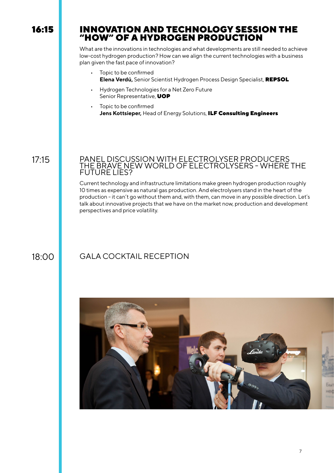#### 16:15 INNOVATION AND TECHNOLOGY SESSION THE "HOW" OF A HYDROGEN PRODUCTION

What are the innovations in technologies and what developments are still needed to achieve low-cost hydrogen production? How can we align the current technologies with a business plan given the fast pace of innovation?

- Topic to be confirmed **Elena Verdú,** Senior Scientist Hydrogen Process Design Specialist, REPSOL
- Hydrogen Technologies for a Net Zero Future Senior Representative, **UOP**
- Topic to be confirmed **Jens Kottsieper,** Head of Energy Solutions, ILF Consulting Engineers

17:15

#### PANEL DISCUSSION WITH ELECTROLYSER PRODUCERS THE BRAVE NEW WORLD OF ELECTROLYSERS - WHERE THE FUTURE LIES?

Current technology and infrastructure limitations make green hydrogen production roughly 10 times as expensive as natural gas production. And electrolysers stand in the heart of the production - it can't go without them and, with them, can move in any possible direction. Let's talk about innovative projects that we have on the market now, production and development perspectives and price volatility.

### 18:00 GALA COCKTAIL RECEPTION

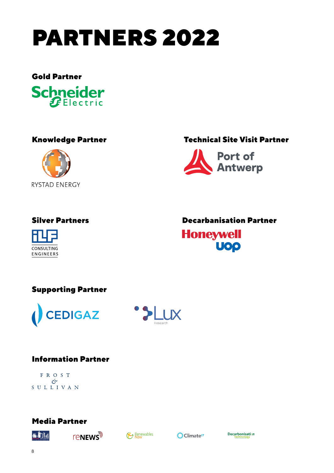





#### Knowledge Partner Technical Site Visit Partner





#### Silver Partners Decarbanisation Partner

**Honeywell UOP** 

#### Supporting Partner





#### Information Partner

FROST  $\mathcal{C}^{\rho}$ SULLIVAN

#### Media Partner









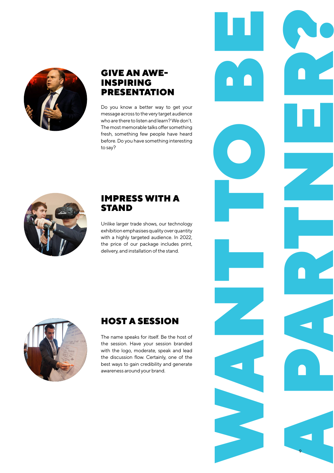

#### GIVE AN AWE-INSPIRING PRESENTATION

Do you know a better way to get your message across to the very target audience who are there to listen and learn? We don't. The most memorable talks offer something fresh, something few people have heard before. Do you have something interesting to say?



#### IMPRESS WITH A STAND

Unlike larger trade shows, our technology exhibition emphasises quality over quantity with a highly targeted audience. In 2022, the price of our package includes print, delivery, and installation of the stand.

WANT TO BE

9 A PARTIES



### HOST A SESSION

The name speaks for itself. Be the host of the session. Have your session branded with the logo, moderate, speak and lead the discussion flow. Certainly, one of the best ways to gain credibility and generate awareness around your brand.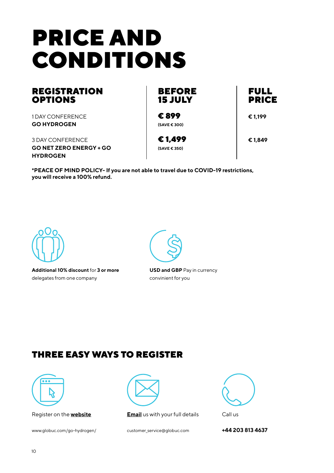# PRICE AND CONDITIONS

#### **REGISTRATION** OPTIONS

1 DAY CONFERENCE **GO HYDROGEN**

3 DAY CONFERENCE **GO NET ZERO ENERGY + GO HYDROGEN**

BEFORE 15 JULY

€ 899 **(SAVE € 300)**

€ 1,499 **(SAVE € 350)**

PRICE

FULL

**€ 1,199**

**€ 1,849**

**\*PEACE OF MIND POLICY- If you are not able to travel due to COVID-19 restrictions, you will receive a 100% refund.**



**Additional 10% discount** for **3 or more** delegates from one company



**USD and GBP** Pay in currency convinient for you

### THREE EASY WAYS TO REGISTER



Register on the **website**

www.globuc.com/go-hydrogen/



**Email** us with your full details

customer\_service@globuc.com



**+44 203 813 4637**